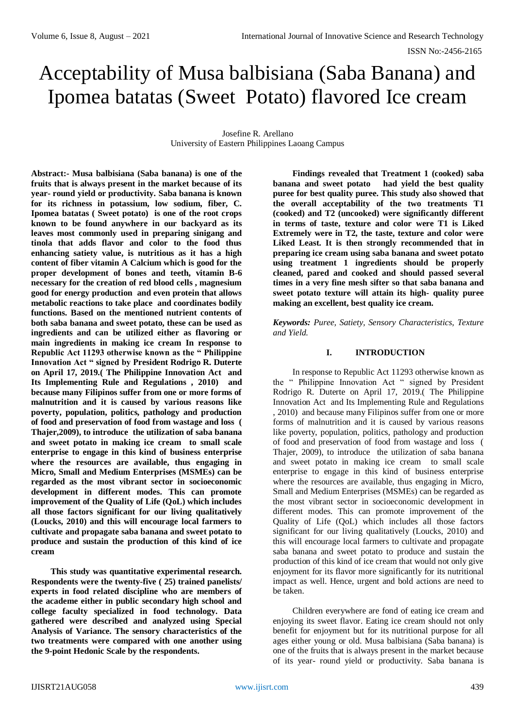# Acceptability of Musa balbisiana (Saba Banana) and Ipomea batatas (Sweet Potato) flavored Ice cream

Josefine R. Arellano University of Eastern Philippines Laoang Campus

**Abstract:- Musa balbisiana (Saba banana) is one of the fruits that is always present in the market because of its year- round yield or productivity. Saba banana is known for its richness in potassium, low sodium, fiber, C. Ipomea batatas ( Sweet potato) is one of the root crops known to be found anywhere in our backyard as its leaves most commonly used in preparing sinigang and tinola that adds flavor and color to the food thus enhancing satiety value, is nutritious as it has a high content of fiber vitamin A Calcium which is good for the proper development of bones and teeth, vitamin B-6 necessary for the creation of red blood cells , magnesium good for energy production and even protein that allows metabolic reactions to take place and coordinates bodily functions. Based on the mentioned nutrient contents of both saba banana and sweet potato, these can be used as ingredients and can be utilized either as flavoring or main ingredients in making ice cream In response to Republic Act 11293 otherwise known as the " Philippine Innovation Act " signed by President Rodrigo R. Duterte on April 17, 2019.( The Philippine Innovation Act and Its Implementing Rule and Regulations , 2010) and because many Filipinos suffer from one or more forms of malnutrition and it is caused by various reasons like poverty, population, politics, pathology and production of food and preservation of food from wastage and loss ( Thajer,2009), to introduce the utilization of saba banana and sweet potato in making ice cream to small scale enterprise to engage in this kind of business enterprise where the resources are available, thus engaging in Micro, Small and Medium Enterprises (MSMEs) can be regarded as the most vibrant sector in socioeconomic development in different modes. This can promote improvement of the Quality of Life (QoL) which includes all those factors significant for our living qualitatively (Loucks, 2010) and this will encourage local farmers to cultivate and propagate saba banana and sweet potato to produce and sustain the production of this kind of ice cream** 

**This study was quantitative experimental research. Respondents were the twenty-five ( 25) trained panelists/ experts in food related discipline who are members of the academe either in public secondary high school and college faculty specialized in food technology. Data gathered were described and analyzed using Special Analysis of Variance. The sensory characteristics of the two treatments were compared with one another using the 9-point Hedonic Scale by the respondents.**

**Findings revealed that Treatment 1 (cooked) saba banana and sweet potato had yield the best quality puree for best quality puree. This study also showed that the overall acceptability of the two treatments T1 (cooked) and T2 (uncooked) were significantly different in terms of taste, texture and color were T1 is Liked Extremely were in T2, the taste, texture and color were Liked Least. It is then strongly recommended that in preparing ice cream using saba banana and sweet potato using treatment 1 ingredients should be properly cleaned, pared and cooked and should passed several times in a very fine mesh sifter so that saba banana and sweet potato texture will attain its high- quality puree making an excellent, best quality ice cream.** 

*Keywords: Puree, Satiety, Sensory Characteristics, Texture and Yield.*

## **I. INTRODUCTION**

In response to Republic Act 11293 otherwise known as the " Philippine Innovation Act " signed by President Rodrigo R. Duterte on April 17, 2019.( The Philippine Innovation Act and Its Implementing Rule and Regulations , 2010) and because many Filipinos suffer from one or more forms of malnutrition and it is caused by various reasons like poverty, population, politics, pathology and production of food and preservation of food from wastage and loss ( Thajer, 2009), to introduce the utilization of saba banana and sweet potato in making ice cream to small scale enterprise to engage in this kind of business enterprise where the resources are available, thus engaging in Micro, Small and Medium Enterprises (MSMEs) can be regarded as the most vibrant sector in socioeconomic development in different modes. This can promote improvement of the Quality of Life (QoL) which includes all those factors significant for our living qualitatively (Loucks, 2010) and this will encourage local farmers to cultivate and propagate saba banana and sweet potato to produce and sustain the production of this kind of ice cream that would not only give enjoyment for its flavor more significantly for its nutritional impact as well. Hence, urgent and bold actions are need to be taken.

Children everywhere are fond of eating ice cream and enjoying its sweet flavor. Eating ice cream should not only benefit for enjoyment but for its nutritional purpose for all ages either young or old. Musa balbisiana (Saba banana) is one of the fruits that is always present in the market because of its year- round yield or productivity. Saba banana is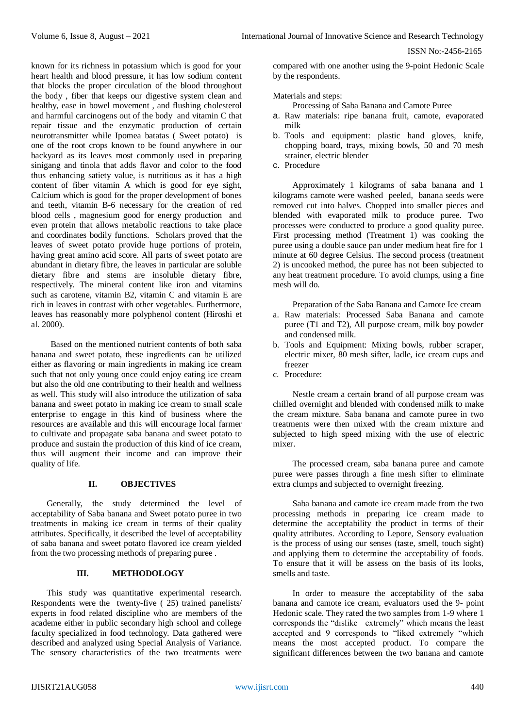ISSN No:-2456-2165

known for its richness in potassium which is good for your heart health and blood pressure, it has low sodium content that blocks the proper circulation of the blood throughout the body , fiber that keeps our digestive system clean and healthy, ease in bowel movement , and flushing cholesterol and harmful carcinogens out of the body and vitamin C that repair tissue and the enzymatic production of certain neurotransmitter while Ipomea batatas ( Sweet potato) is one of the root crops known to be found anywhere in our backyard as its leaves most commonly used in preparing sinigang and tinola that adds flavor and color to the food thus enhancing satiety value, is nutritious as it has a high content of fiber vitamin A which is good for eye sight, Calcium which is good for the proper development of bones and teeth, vitamin B-6 necessary for the creation of red blood cells , magnesium good for energy production and even protein that allows metabolic reactions to take place and coordinates bodily functions. Scholars proved that the leaves of sweet potato provide huge portions of protein, having great amino acid score. All parts of sweet potato are abundant in dietary fibre, the leaves in particular are soluble dietary fibre and stems are insoluble dietary fibre, respectively. The mineral content like iron and vitamins such as carotene, vitamin B2, vitamin C and vitamin E are rich in leaves in contrast with other vegetables. Furthermore, leaves has reasonably more polyphenol content (Hiroshi et al. 2000).

Based on the mentioned nutrient contents of both saba banana and sweet potato, these ingredients can be utilized either as flavoring or main ingredients in making ice cream such that not only young once could enjoy eating ice cream but also the old one contributing to their health and wellness as well. This study will also introduce the utilization of saba banana and sweet potato in making ice cream to small scale enterprise to engage in this kind of business where the resources are available and this will encourage local farmer to cultivate and propagate saba banana and sweet potato to produce and sustain the production of this kind of ice cream, thus will augment their income and can improve their quality of life.

#### **II. OBJECTIVES**

Generally, the study determined the level of acceptability of Saba banana and Sweet potato puree in two treatments in making ice cream in terms of their quality attributes. Specifically, it described the level of acceptability of saba banana and sweet potato flavored ice cream yielded from the two processing methods of preparing puree .

## **III. METHODOLOGY**

This study was quantitative experimental research. Respondents were the twenty-five ( 25) trained panelists/ experts in food related discipline who are members of the academe either in public secondary high school and college faculty specialized in food technology. Data gathered were described and analyzed using Special Analysis of Variance. The sensory characteristics of the two treatments were

compared with one another using the 9-point Hedonic Scale by the respondents.

#### Materials and steps:

Processing of Saba Banana and Camote Puree

- a. Raw materials: ripe banana fruit, camote, evaporated milk
- b. Tools and equipment: plastic hand gloves, knife, chopping board, trays, mixing bowls, 50 and 70 mesh strainer, electric blender
- c. Procedure

Approximately 1 kilograms of saba banana and 1 kilograms camote were washed peeled, banana seeds were removed cut into halves. Chopped into smaller pieces and blended with evaporated milk to produce puree. Two processes were conducted to produce a good quality puree. First processing method (Treatment 1) was cooking the puree using a double sauce pan under medium heat fire for 1 minute at 60 degree Celsius. The second process (treatment 2) is uncooked method, the puree has not been subjected to any heat treatment procedure. To avoid clumps, using a fine mesh will do.

Preparation of the Saba Banana and Camote Ice cream

- a. Raw materials: Processed Saba Banana and camote puree (T1 and T2), All purpose cream, milk boy powder and condensed milk.
- b. Tools and Equipment: Mixing bowls, rubber scraper, electric mixer, 80 mesh sifter, ladle, ice cream cups and freezer
- c. Procedure:

Nestle cream a certain brand of all purpose cream was chilled overnight and blended with condensed milk to make the cream mixture. Saba banana and camote puree in two treatments were then mixed with the cream mixture and subjected to high speed mixing with the use of electric mixer.

The processed cream, saba banana puree and camote puree were passes through a fine mesh sifter to eliminate extra clumps and subjected to overnight freezing.

Saba banana and camote ice cream made from the two processing methods in preparing ice cream made to determine the acceptability the product in terms of their quality attributes. According to Lepore, Sensory evaluation is the process of using our senses (taste, smell, touch sight) and applying them to determine the acceptability of foods. To ensure that it will be assess on the basis of its looks, smells and taste.

In order to measure the acceptability of the saba banana and camote ice cream, evaluators used the 9- point Hedonic scale. They rated the two samples from 1-9 where 1 corresponds the "dislike extremely" which means the least accepted and 9 corresponds to "liked extremely "which means the most accepted product. To compare the significant differences between the two banana and camote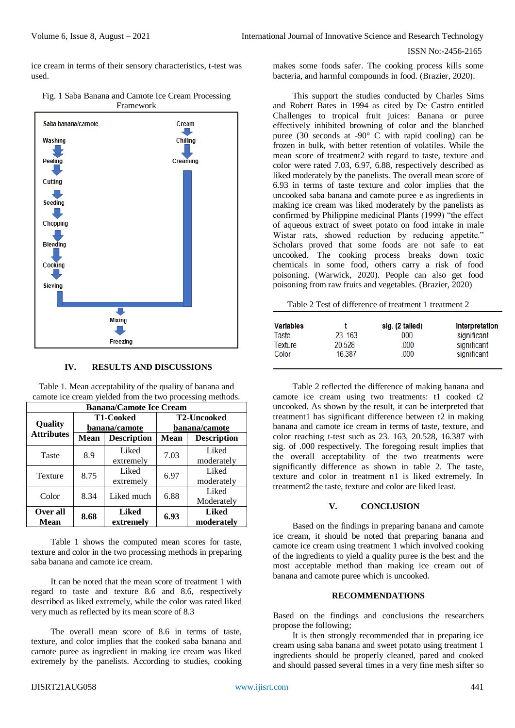ISSN No:-2456-2165

ice cream in terms of their sensory characteristics, t-test was used.



Fig. 1 Saba Banana and Camote Ice Cream Processing Framework

#### **IV. RESULTS AND DISCUSSIONS**

Table 1. Mean acceptability of the quality of banana and camote ice cream yielded from the two processing methods. **Banana/Camote Ice Cream**

| рапана/Санюю те Стеанг       |                                   |                           |                                     |                            |  |  |  |
|------------------------------|-----------------------------------|---------------------------|-------------------------------------|----------------------------|--|--|--|
| Quality<br><b>Attributes</b> | <b>T1-Cooked</b><br>banana/camote |                           | <b>T2-Uncooked</b><br>banana/camote |                            |  |  |  |
|                              | Mean                              | <b>Description</b>        | <b>Mean</b>                         | <b>Description</b>         |  |  |  |
| Taste                        | 8.9                               | Liked<br>extremely        | 7.03                                | Liked<br>moderately        |  |  |  |
| Texture                      | 8.75                              | Liked<br>extremely        | 6.97                                | Liked<br>moderately        |  |  |  |
| Color                        | 8.34                              | Liked much                | 6.88                                | Liked<br>Moderately        |  |  |  |
| Over all<br>Mean             | 8.68                              | <b>Liked</b><br>extremely | 6.93                                | <b>Liked</b><br>moderately |  |  |  |

Table 1 shows the computed mean scores for taste, texture and color in the two processing methods in preparing saba banana and camote ice cream

It can be noted that the mean score of treatment 1 with regard to taste and texture 8.6 and 8.6, respectively described as liked extremely, while the color was rated liked very much as reflected by its mean score of 8.3

The overall mean score of 8.6 in terms of taste, texture, and color implies that the cooked saba banana and camote puree as ingredient in making ice cream was liked extremely by the panelists. According to studies, cooking

IJISRT21AUG058 [www.ijisrt.com](http://www.ijisrt.com/) 441

makes some foods safer. The cooking process kills some bacteria, and harmful compounds in food. (Brazier, 2020).

This support the studies conducted by Charles Sims and Robert Bates in 1994 as cited by De Castro entitled Challenges to tropical fruit juices: Banana or puree effectively inhibited browning of color and the blanched puree (30 seconds at  $-90^{\circ}$  C with rapid cooling) can be frozen in bulk, with better retention of volatiles. While the mean score of treatment2 with regard to taste, texture and color were rated 7.03, 6.97, 6.88, respectively described as liked moderately by the panelists. The overall mean score of 6.93 in terms of taste texture and color implies that the uncooked saba banana and camote puree e as ingredients in making ice cream was liked moderately by the panelists as confirmed by Philippine medicinal Plants (1999) "the effect of aqueous extract of sweet potato on food intake in male Wistar rats, showed reduction by reducing appetite." Scholars proved that some foods are not safe to eat uncooked. The cooking process breaks down toxic chemicals in some food, others carry a risk of food poisoning. (Warwick, 2020). People can also get food poisoning from raw fruits and vegetables. (Brazier, 2020)

| Table 2 Test of difference of treatment 1 treatment 2 |  |
|-------------------------------------------------------|--|
|-------------------------------------------------------|--|

| <b>Variables</b> |        | sig. (2 tailed) | <b>Interpretation</b> |
|------------------|--------|-----------------|-----------------------|
| Taste            | 23.163 | 000             | significant           |
| <b>Texture</b>   | 20.528 | .000            | significant           |
| Color            | 16.387 | 000             | significant           |

Table 2 reflected the difference of making banana and camote ice cream using two treatments: t1 cooked t2 uncooked. As shown by the result, it can be interpreted that treatment1 has significant difference between t2 in making banana and camote ice cream in terms of taste, texture, and color reaching t-test such as 23. 163, 20.528, 16.387 with sig. of .000 respectively. The foregoing result implies that the overall acceptability of the two treatments were significantly difference as shown in table 2. The taste, texture and color in treatment n1 is liked extremely. In treatment2 the taste, texture and color are liked least.

# **V. CONCLUSION**

Based on the findings in preparing banana and camote ice cream, it should be noted that preparing banana and camote ice cream using treatment 1 which involved cooking of the ingredients to yield a quality puree is the best and the most acceptable method than making ice cream out of banana and camote puree which is uncooked.

#### **RECOMMENDATIONS**

Based on the findings and conclusions the researchers propose the following;

It is then strongly recommended that in preparing ice cream using saba banana and sweet potato using treatment 1 ingredients should be properly cleaned, pared and cooked and should passed several times in a very fine mesh sifter so